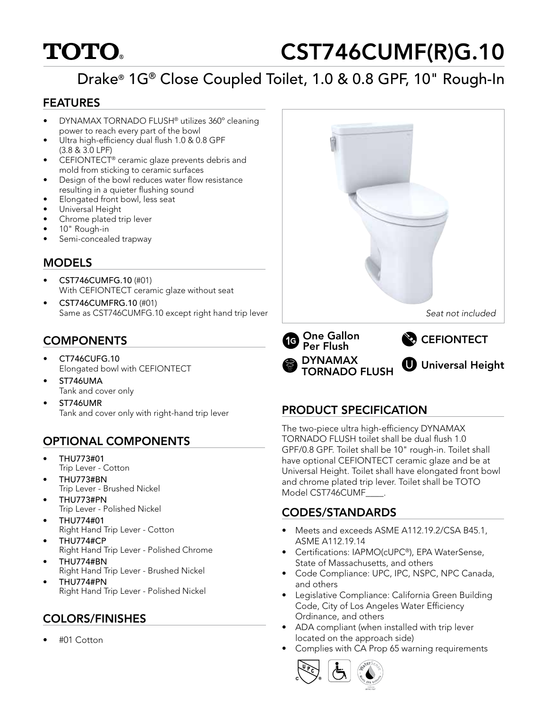# **TOTO.**

# CST746CUMF(R)G.10

## Drake® 1G® Close Coupled Toilet, 1.0 & 0.8 GPF, 10" Rough-In

#### FEATURES

- DYNAMAX TORNADO FLUSH® utilizes 360º cleaning power to reach every part of the bowl
- Ultra high-efficiency dual flush 1.0 & 0.8 GPF (3.8 & 3.0 LPF)
- CEFIONTECT® ceramic glaze prevents debris and mold from sticking to ceramic surfaces
- Design of the bowl reduces water flow resistance resulting in a quieter flushing sound
- Elongated front bowl, less seat
- Universal Height
- Chrome plated trip lever
- 10" Rough-in
- Semi-concealed trapway

#### MODELS

- CST746CUMFG.10 (#01) With CEFIONTECT ceramic glaze without seat
- CST746CUMFRG.10 (#01) Same as CST746CUMFG.10 except right hand trip lever

### **COMPONENTS**

- CT746CUFG.10 Elongated bowl with CEFIONTECT
- ST746UMA Tank and cover only
- ST746UMR Tank and cover only with right-hand trip lever

#### OPTIONAL COMPONENTS

- THU773#01 Trip Lever - Cotton
- THU773#BN Trip Lever - Brushed Nickel
- THU773#PN Trip Lever - Polished Nickel
- THU774#01 Right Hand Trip Lever - Cotton
- THU774#CP Right Hand Trip Lever - Polished Chrome
- THU774#BN Right Hand Trip Lever - Brushed Nickel
- THU774#PN Right Hand Trip Lever - Polished Nickel

#### COLORS/FINISHES

• #01 Cotton



#### PRODUCT SPECIFICATION

The two-piece ultra high-efficiency DYNAMAX TORNADO FLUSH toilet shall be dual flush 1.0 GPF/0.8 GPF. Toilet shall be 10" rough-in. Toilet shall have optional CEFIONTECT ceramic glaze and be at Universal Height. Toilet shall have elongated front bowl and chrome plated trip lever. Toilet shall be TOTO Model CST746CUMF

#### CODES/STANDARDS

- Meets and exceeds ASME A112.19.2/CSA B45.1, ASME A112.19.14
- Certifications: IAPMO(cUPC®), EPA WaterSense, State of Massachusetts, and others
- Code Compliance: UPC, IPC, NSPC, NPC Canada, and others
- Legislative Compliance: California Green Building Code, City of Los Angeles Water Efficiency Ordinance, and others
- ADA compliant (when installed with trip lever located on the approach side)
- Complies with CA Prop 65 warning requirements